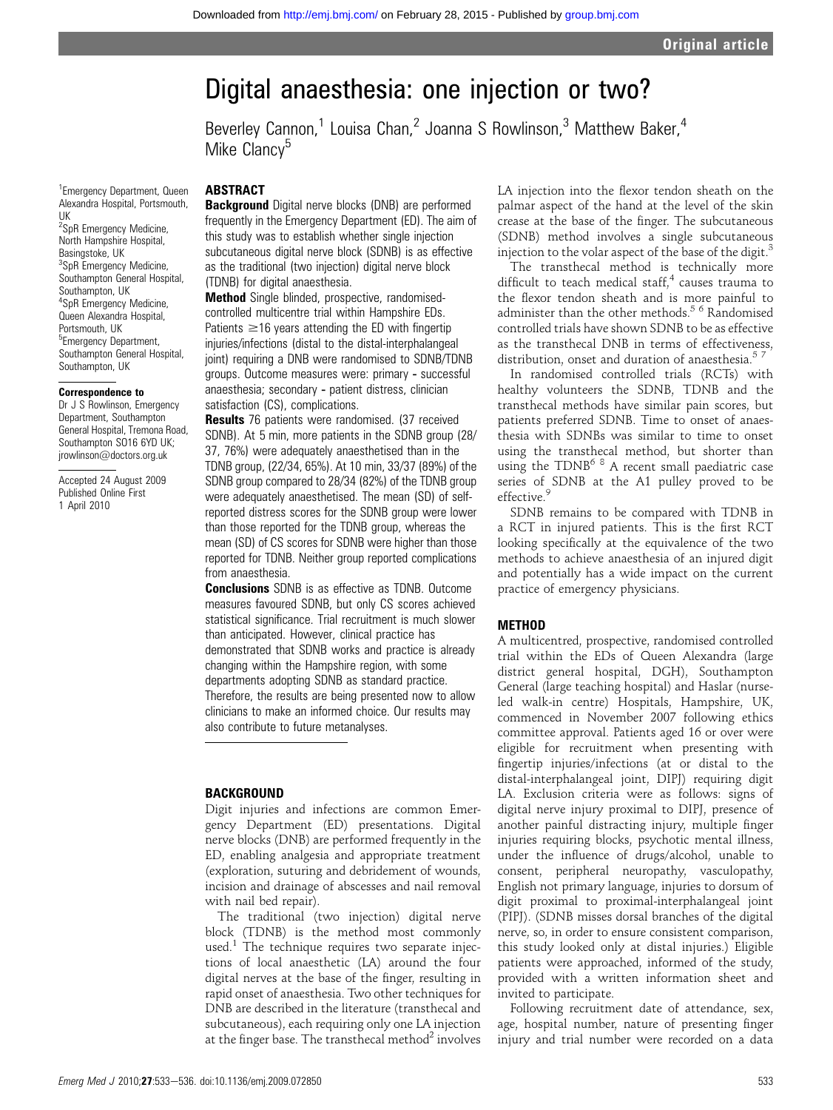# Digital anaesthesia: one injection or two?

Beverley Cannon,<sup>1</sup> Louisa Chan,<sup>2</sup> Joanna S Rowlinson,<sup>3</sup> Matthew Baker,<sup>4</sup> Mike Clancy<sup>5</sup>

<sup>1</sup> Emergency Department, Queen Alexandra Hospital, Portsmouth, UK

<sup>2</sup>SpR Emergency Medicine, North Hampshire Hospital, Basingstoke, UK <sup>3</sup>SpR Emergency Medicine, Southampton General Hospital, Southampton, UK 4 SpR Emergency Medicine, Queen Alexandra Hospital, Portsmouth, UK <sup>5</sup> Emergency Department, Southampton General Hospital, Southampton, UK

## Correspondence to

Dr J S Rowlinson, Emergency Department, Southampton General Hospital, Tremona Road, Southampton SO16 6YD UK; jrowlinson@doctors.org.uk

Accepted 24 August 2009 Published Online First 1 April 2010

## ABSTRACT

Background Digital nerve blocks (DNB) are performed frequently in the Emergency Department (ED). The aim of this study was to establish whether single injection subcutaneous digital nerve block (SDNB) is as effective as the traditional (two injection) digital nerve block (TDNB) for digital anaesthesia.

Method Single blinded, prospective, randomisedcontrolled multicentre trial within Hampshire EDs. Patients  $\geq$ 16 years attending the ED with fingertip injuries/infections (distal to the distal-interphalangeal joint) requiring a DNB were randomised to SDNB/TDNB groups. Outcome measures were: primary ‑ successful anaesthesia; secondary ‑ patient distress, clinician satisfaction (CS), complications.

**Results** 76 patients were randomised. (37 received SDNB). At 5 min, more patients in the SDNB group (28/ 37, 76%) were adequately anaesthetised than in the TDNB group, (22/34, 65%). At 10 min, 33/37 (89%) of the SDNB group compared to 28/34 (82%) of the TDNB group were adequately anaesthetised. The mean (SD) of selfreported distress scores for the SDNB group were lower than those reported for the TDNB group, whereas the mean (SD) of CS scores for SDNB were higher than those reported for TDNB. Neither group reported complications from anaesthesia.

Conclusions SDNB is as effective as TDNB. Outcome measures favoured SDNB, but only CS scores achieved statistical significance. Trial recruitment is much slower than anticipated. However, clinical practice has demonstrated that SDNB works and practice is already changing within the Hampshire region, with some departments adopting SDNB as standard practice. Therefore, the results are being presented now to allow clinicians to make an informed choice. Our results may also contribute to future metanalyses.

## **BACKGROUND**

Digit injuries and infections are common Emergency Department (ED) presentations. Digital nerve blocks (DNB) are performed frequently in the ED, enabling analgesia and appropriate treatment (exploration, suturing and debridement of wounds, incision and drainage of abscesses and nail removal with nail bed repair).

The traditional (two injection) digital nerve block (TDNB) is the method most commonly used.<sup>1</sup> The technique requires two separate injections of local anaesthetic (LA) around the four digital nerves at the base of the finger, resulting in rapid onset of anaesthesia. Two other techniques for DNB are described in the literature (transthecal and subcutaneous), each requiring only one LA injection at the finger base. The transthecal method $2$  involves

LA injection into the flexor tendon sheath on the palmar aspect of the hand at the level of the skin crease at the base of the finger. The subcutaneous (SDNB) method involves a single subcutaneous injection to the volar aspect of the base of the digit.<sup>3</sup>

The transthecal method is technically more difficult to teach medical staff, $4$  causes trauma to the flexor tendon sheath and is more painful to administer than the other methods.<sup>5 6</sup> Randomised controlled trials have shown SDNB to be as effective as the transthecal DNB in terms of effectiveness, distribution, onset and duration of anaesthesia.<sup>57</sup>

In randomised controlled trials (RCTs) with healthy volunteers the SDNB, TDNB and the transthecal methods have similar pain scores, but patients preferred SDNB. Time to onset of anaesthesia with SDNBs was similar to time to onset using the transthecal method, but shorter than using the  $TDNB<sup>6 8</sup>$  A recent small paediatric case series of SDNB at the A1 pulley proved to be effective.<sup>9</sup>

SDNB remains to be compared with TDNB in a RCT in injured patients. This is the first RCT looking specifically at the equivalence of the two methods to achieve anaesthesia of an injured digit and potentially has a wide impact on the current practice of emergency physicians.

## **METHOD**

A multicentred, prospective, randomised controlled trial within the EDs of Queen Alexandra (large district general hospital, DGH), Southampton General (large teaching hospital) and Haslar (nurseled walk-in centre) Hospitals, Hampshire, UK, commenced in November 2007 following ethics committee approval. Patients aged 16 or over were eligible for recruitment when presenting with fingertip injuries/infections (at or distal to the distal-interphalangeal joint, DIPJ) requiring digit LA. Exclusion criteria were as follows: signs of digital nerve injury proximal to DIPJ, presence of another painful distracting injury, multiple finger injuries requiring blocks, psychotic mental illness, under the influence of drugs/alcohol, unable to consent, peripheral neuropathy, vasculopathy, English not primary language, injuries to dorsum of digit proximal to proximal-interphalangeal joint (PIPJ). (SDNB misses dorsal branches of the digital nerve, so, in order to ensure consistent comparison, this study looked only at distal injuries.) Eligible patients were approached, informed of the study, provided with a written information sheet and invited to participate.

Following recruitment date of attendance, sex, age, hospital number, nature of presenting finger injury and trial number were recorded on a data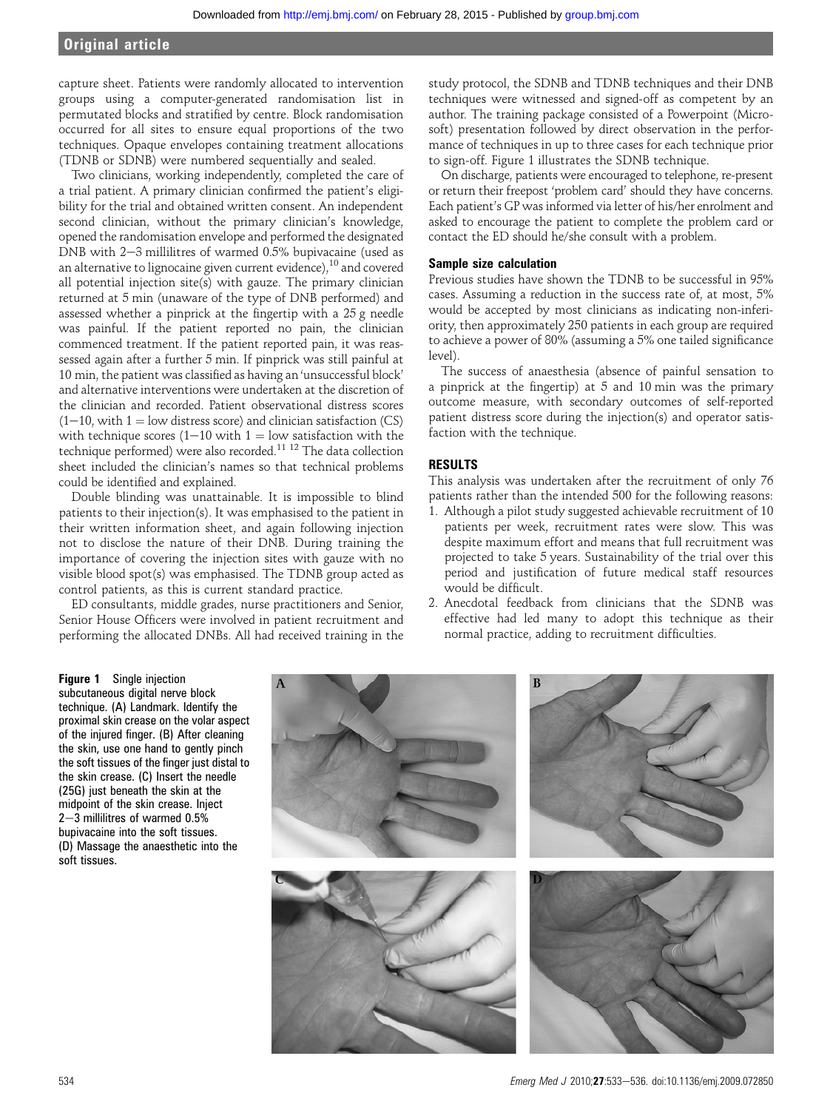## Original article

capture sheet. Patients were randomly allocated to intervention groups using a computer-generated randomisation list in permutated blocks and stratified by centre. Block randomisation occurred for all sites to ensure equal proportions of the two techniques. Opaque envelopes containing treatment allocations (TDNB or SDNB) were numbered sequentially and sealed.

Two clinicians, working independently, completed the care of a trial patient. A primary clinician confirmed the patient's eligibility for the trial and obtained written consent. An independent second clinician, without the primary clinician's knowledge, opened the randomisation envelope and performed the designated DNB with  $2-3$  millilitres of warmed 0.5% bupivacaine (used as an alternative to lignocaine given current evidence),  $^{10}$  and covered all potential injection site(s) with gauze. The primary clinician returned at 5 min (unaware of the type of DNB performed) and assessed whether a pinprick at the fingertip with a 25 g needle was painful. If the patient reported no pain, the clinician commenced treatment. If the patient reported pain, it was reassessed again after a further 5 min. If pinprick was still painful at 10 min, the patient was classified as having an'unsuccessful block' and alternative interventions were undertaken at the discretion of the clinician and recorded. Patient observational distress scores  $(1-10, \text{ with } 1 = \text{low dig} \times \text{score})$  and clinician satisfaction (CS) with technique scores (1–10 with 1 = low satisfaction with the technique performed) were also recorded.11 12 The data collection sheet included the clinician's names so that technical problems could be identified and explained.

Double blinding was unattainable. It is impossible to blind patients to their injection(s). It was emphasised to the patient in their written information sheet, and again following injection not to disclose the nature of their DNB. During training the importance of covering the injection sites with gauze with no visible blood spot(s) was emphasised. The TDNB group acted as control patients, as this is current standard practice.

ED consultants, middle grades, nurse practitioners and Senior, Senior House Officers were involved in patient recruitment and performing the allocated DNBs. All had received training in the study protocol, the SDNB and TDNB techniques and their DNB techniques were witnessed and signed-off as competent by an author. The training package consisted of a Powerpoint (Microsoft) presentation followed by direct observation in the performance of techniques in up to three cases for each technique prior to sign-off. Figure 1 illustrates the SDNB technique.

On discharge, patients were encouraged to telephone, re-present or return their freepost 'problem card' should they have concerns. Each patient's GP was informed via letter of his/her enrolment and asked to encourage the patient to complete the problem card or contact the ED should he/she consult with a problem.

## Sample size calculation

Previous studies have shown the TDNB to be successful in 95% cases. Assuming a reduction in the success rate of, at most, 5% would be accepted by most clinicians as indicating non-inferiority, then approximately 250 patients in each group are required to achieve a power of 80% (assuming a 5% one tailed significance level).

The success of anaesthesia (absence of painful sensation to a pinprick at the fingertip) at 5 and 10 min was the primary outcome measure, with secondary outcomes of self-reported patient distress score during the injection(s) and operator satisfaction with the technique.

## RESULTS

This analysis was undertaken after the recruitment of only 76 patients rather than the intended 500 for the following reasons:

- 1. Although a pilot study suggested achievable recruitment of 10 patients per week, recruitment rates were slow. This was despite maximum effort and means that full recruitment was projected to take 5 years. Sustainability of the trial over this period and justification of future medical staff resources would be difficult.
- 2. Anecdotal feedback from clinicians that the SDNB was effective had led many to adopt this technique as their normal practice, adding to recruitment difficulties.

Figure 1 Single injection subcutaneous digital nerve block technique. (A) Landmark. Identify the proximal skin crease on the volar aspect of the injured finger. (B) After cleaning the skin, use one hand to gently pinch the soft tissues of the finger just distal to the skin crease. (C) Insert the needle (25G) just beneath the skin at the midpoint of the skin crease. Inject  $2-3$  millilitres of warmed 0.5% bupivacaine into the soft tissues. (D) Massage the anaesthetic into the soft tissues.

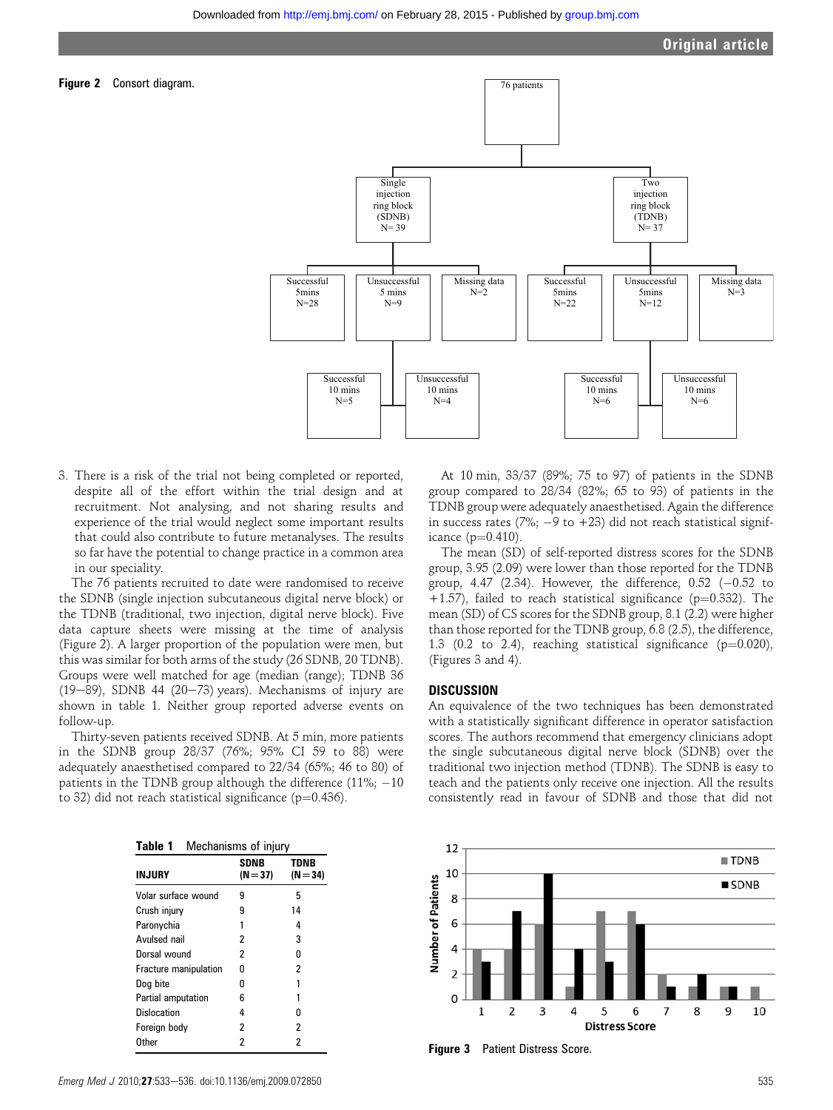

3. There is a risk of the trial not being completed or reported, despite all of the effort within the trial design and at recruitment. Not analysing, and not sharing results and experience of the trial would neglect some important results that could also contribute to future metanalyses. The results so far have the potential to change practice in a common area in our speciality.

The 76 patients recruited to date were randomised to receive the SDNB (single injection subcutaneous digital nerve block) or the TDNB (traditional, two injection, digital nerve block). Five data capture sheets were missing at the time of analysis (Figure 2). A larger proportion of the population were men, but this was similar for both arms of the study (26 SDNB, 20 TDNB). Groups were well matched for age (median (range); TDNB 36 (19-89), SDNB 44 (20-73) years). Mechanisms of injury are shown in table 1. Neither group reported adverse events on follow-up.

Thirty-seven patients received SDNB. At 5 min, more patients in the SDNB group 28/37 (76%; 95% CI 59 to 88) were adequately anaesthetised compared to 22/34 (65%; 46 to 80) of patients in the TDNB group although the difference  $(11\%,-10\%$ to 32) did not reach statistical significance ( $p=0.436$ ).

| <b>INJURY</b>         | <b>SDNB</b><br>$(N = 37)$ | TDNB<br>(N = 34) |
|-----------------------|---------------------------|------------------|
| Volar surface wound   | 9                         | 5                |
| Crush injury          | 9                         | 14               |
| Paronychia            | 1                         | 4                |
| Avulsed nail          | 2                         | 3                |
| Dorsal wound          | 2                         | n                |
| Fracture manipulation | n                         | 2                |
| Dog bite              | n                         | 1                |
| Partial amputation    | 6                         | 1                |
| Dislocation           | 4                         | n                |
| Foreign body          | 2                         | 2                |
| Other                 | 2                         | 2                |
|                       |                           |                  |

At 10 min, 33/37 (89%; 75 to 97) of patients in the SDNB group compared to 28/34 (82%; 65 to 93) of patients in the TDNB group were adequately anaesthetised. Again the difference in success rates  $(7\%; -9 \text{ to } +23)$  did not reach statistical significance  $(p=0.410)$ .

The mean (SD) of self-reported distress scores for the SDNB group, 3.95 (2.09) were lower than those reported for the TDNB group,  $4.47$  (2.34). However, the difference,  $0.52$  (-0.52 to +1.57), failed to reach statistical significance ( $p=0.332$ ). The mean (SD) of CS scores for the SDNB group, 8.1 (2.2) were higher than those reported for the TDNB group, 6.8 (2.5), the difference, 1.3 (0.2 to 2.4), reaching statistical significance ( $p=0.020$ ), (Figures 3 and 4).

## DISCUSSION

An equivalence of the two techniques has been demonstrated with a statistically significant difference in operator satisfaction scores. The authors recommend that emergency clinicians adopt the single subcutaneous digital nerve block (SDNB) over the traditional two injection method (TDNB). The SDNB is easy to teach and the patients only receive one injection. All the results consistently read in favour of SDNB and those that did not



Figure 3 Patient Distress Score.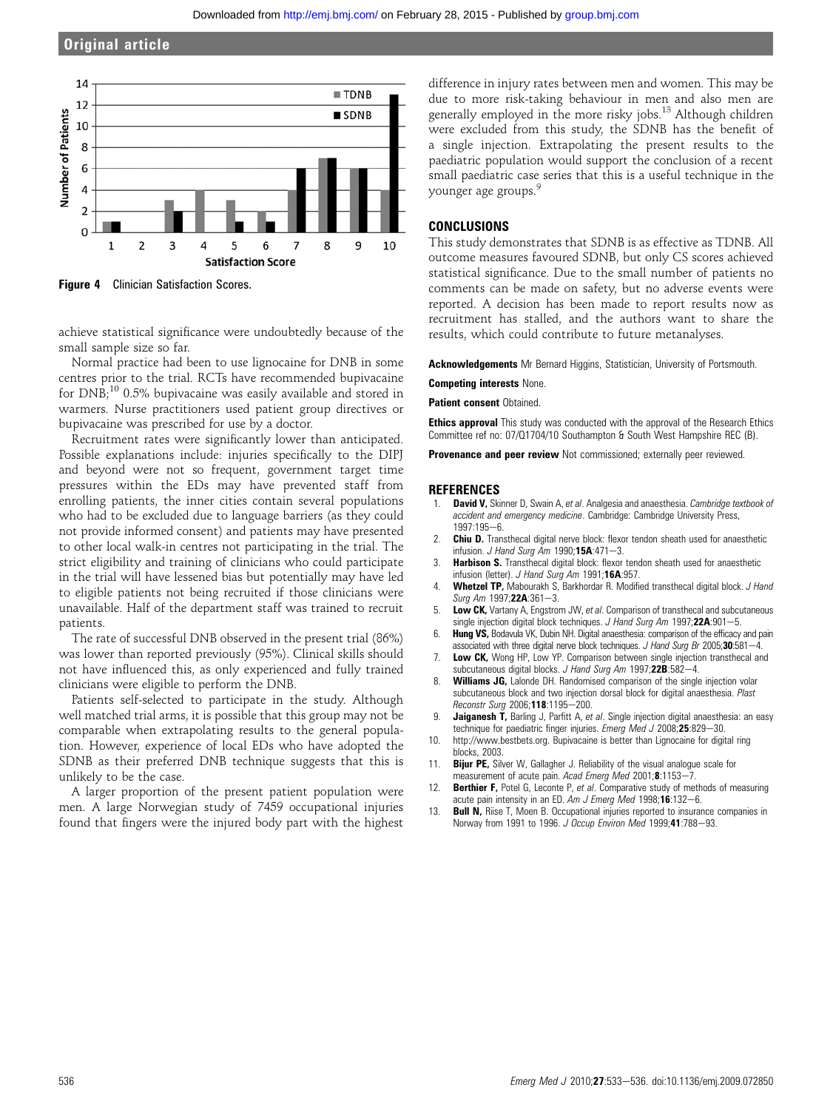## Original article



**Figure 4** Clinician Satisfaction Scores.

achieve statistical significance were undoubtedly because of the small sample size so far.

Normal practice had been to use lignocaine for DNB in some centres prior to the trial. RCTs have recommended bupivacaine for DNB;<sup>10</sup> 0.5% bupivacaine was easily available and stored in warmers. Nurse practitioners used patient group directives or bupivacaine was prescribed for use by a doctor.

Recruitment rates were significantly lower than anticipated. Possible explanations include: injuries specifically to the DIPJ and beyond were not so frequent, government target time pressures within the EDs may have prevented staff from enrolling patients, the inner cities contain several populations who had to be excluded due to language barriers (as they could not provide informed consent) and patients may have presented to other local walk-in centres not participating in the trial. The strict eligibility and training of clinicians who could participate in the trial will have lessened bias but potentially may have led to eligible patients not being recruited if those clinicians were unavailable. Half of the department staff was trained to recruit patients.

The rate of successful DNB observed in the present trial (86%) was lower than reported previously (95%). Clinical skills should not have influenced this, as only experienced and fully trained clinicians were eligible to perform the DNB.

Patients self-selected to participate in the study. Although well matched trial arms, it is possible that this group may not be comparable when extrapolating results to the general population. However, experience of local EDs who have adopted the SDNB as their preferred DNB technique suggests that this is unlikely to be the case.

A larger proportion of the present patient population were men. A large Norwegian study of 7459 occupational injuries found that fingers were the injured body part with the highest

difference in injury rates between men and women. This may be due to more risk-taking behaviour in men and also men are generally employed in the more risky jobs.<sup>13</sup> Although children were excluded from this study, the SDNB has the benefit of a single injection. Extrapolating the present results to the paediatric population would support the conclusion of a recent small paediatric case series that this is a useful technique in the younger age groups.<sup>9</sup>

## **CONCLUSIONS**

This study demonstrates that SDNB is as effective as TDNB. All outcome measures favoured SDNB, but only CS scores achieved statistical significance. Due to the small number of patients no comments can be made on safety, but no adverse events were reported. A decision has been made to report results now as recruitment has stalled, and the authors want to share the results, which could contribute to future metanalyses.

Acknowledgements Mr Bernard Higgins, Statistician, University of Portsmouth.

#### Competing interests None.

Patient consent Obtained.

**Ethics approval** This study was conducted with the approval of the Research Ethics Committee ref no: 07/Q1704/10 Southampton & South West Hampshire REC (B).

Provenance and peer review Not commissioned; externally peer reviewed.

#### **REFERENCES**

- David V, Skinner D, Swain A, et al. Analgesia and anaesthesia. Cambridge textbook of accident and emergency medicine. Cambridge: Cambridge University Press,  $1997.195 - 6$
- **Chiu D.** Transthecal digital nerve block: flexor tendon sheath used for anaesthetic infusion. J Hand Surg Am 1990;15A:471-3.
- 3. **Harbison S.** Transthecal digital block: flexor tendon sheath used for anaesthetic infusion (letter). J Hand Surg Am 1991;16A:957.
- 4. Whetzel TP, Mabourakh S, Barkhordar R. Modified transthecal digital block. J Hand Surg Am 1997;22A:361-3.
- Low CK, Vartany A, Engstrom JW, et al. Comparison of transthecal and subcutaneous single injection digital block techniques. J Hand Surg Am 1997;22A:901-5.
- 6. Hung VS, Bodavula VK, Dubin NH. Digital anaesthesia: comparison of the efficacy and pain associated with three digital nerve block techniques. J Hand Surg Br 2005;30:581-4.
- Low CK, Wong HP, Low YP. Comparison between single injection transthecal and subcutaneous digital blocks. J Hand Surg Am 1997;22B:582-4.
- Williams JG, Lalonde DH. Randomised comparison of the single injection volar subcutaneous block and two injection dorsal block for digital anaesthesia. Plast Reconstr Surg 2006;118:1195-200.
- 9. **Jaiganesh T,** Barling J, Parfitt A, et al. Single injection digital anaesthesia: an easy technique for paediatric finger injuries. Emerg Med J 2008;25:829-30.
- 10. http://www.bestbets.org. Bupivacaine is better than Lignocaine for digital ring blocks, 2003.
- 11. **Bijur PE,** Silver W, Gallagher J. Reliability of the visual analogue scale for measurement of acute pain. Acad Emerg Med 2001;8:1153-7.
- 12. Berthier F, Potel G, Leconte P, et al. Comparative study of methods of measuring acute pain intensity in an ED. Am  $J$  Emerg Med 1998;16:132-6.
- 13. **Bull N,** Riise T, Moen B. Occupational injuries reported to insurance companies in Norway from 1991 to 1996. J Occup Environ Med 1999;41:788-93.